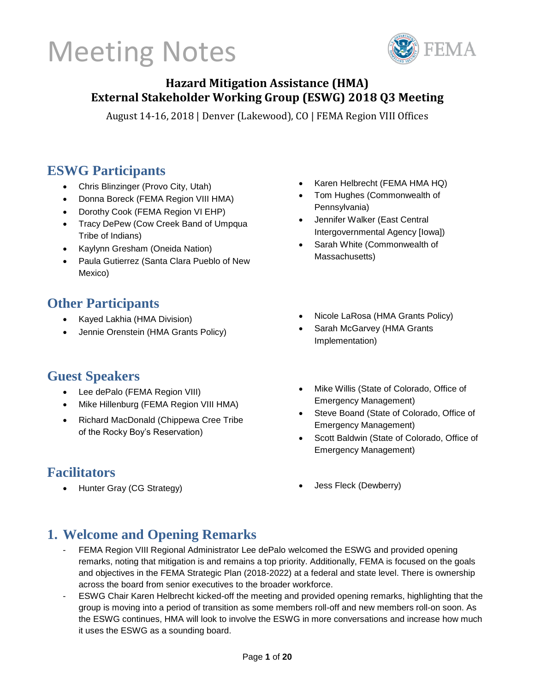

### **Hazard Mitigation Assistance (HMA) External Stakeholder Working Group (ESWG) 2018 Q3 Meeting**

August 14-16, 2018 | Denver (Lakewood), CO | FEMA Region VIII Offices

### **ESWG Participants**

- Chris Blinzinger (Provo City, Utah)
- Donna Boreck (FEMA Region VIII HMA)
- Dorothy Cook (FEMA Region VI EHP)
- Tracy DePew (Cow Creek Band of Umpqua Tribe of Indians)
- Kaylynn Gresham (Oneida Nation)
- Paula Gutierrez (Santa Clara Pueblo of New Mexico)

### **Other Participants**

- Kayed Lakhia (HMA Division)
- Jennie Orenstein (HMA Grants Policy)

### **Guest Speakers**

- Lee dePalo (FEMA Region VIII)
- Mike Hillenburg (FEMA Region VIII HMA)
- Richard MacDonald (Chippewa Cree Tribe of the Rocky Boy's Reservation)

### **Facilitators**

• Hunter Gray (CG Strategy)

- Karen Helbrecht (FEMA HMA HQ)
- Tom Hughes (Commonwealth of Pennsylvania)
- Jennifer Walker (East Central Intergovernmental Agency [Iowa])
- Sarah White (Commonwealth of Massachusetts)
- Nicole LaRosa (HMA Grants Policy)
- Sarah McGarvey (HMA Grants Implementation)
- Mike Willis (State of Colorado, Office of Emergency Management)
- Steve Boand (State of Colorado, Office of Emergency Management)
- Scott Baldwin (State of Colorado, Office of Emergency Management)
- Jess Fleck (Dewberry)

### **1. Welcome and Opening Remarks**

- FEMA Region VIII Regional Administrator Lee dePalo welcomed the ESWG and provided opening remarks, noting that mitigation is and remains a top priority. Additionally, FEMA is focused on the goals and objectives in the FEMA Strategic Plan (2018-2022) at a federal and state level. There is ownership across the board from senior executives to the broader workforce.
- ESWG Chair Karen Helbrecht kicked-off the meeting and provided opening remarks, highlighting that the group is moving into a period of transition as some members roll-off and new members roll-on soon. As the ESWG continues, HMA will look to involve the ESWG in more conversations and increase how much it uses the ESWG as a sounding board.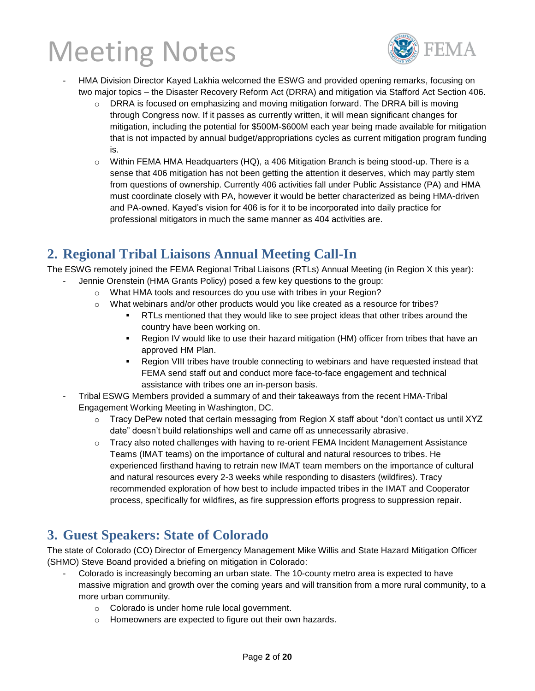

- HMA Division Director Kayed Lakhia welcomed the ESWG and provided opening remarks, focusing on two major topics – the Disaster Recovery Reform Act (DRRA) and mitigation via Stafford Act Section 406.
	- $\circ$  DRRA is focused on emphasizing and moving mitigation forward. The DRRA bill is moving through Congress now. If it passes as currently written, it will mean significant changes for mitigation, including the potential for \$500M-\$600M each year being made available for mitigation that is not impacted by annual budget/appropriations cycles as current mitigation program funding is.
	- $\circ$  Within FEMA HMA Headquarters (HQ), a 406 Mitigation Branch is being stood-up. There is a sense that 406 mitigation has not been getting the attention it deserves, which may partly stem from questions of ownership. Currently 406 activities fall under Public Assistance (PA) and HMA must coordinate closely with PA, however it would be better characterized as being HMA-driven and PA-owned. Kayed's vision for 406 is for it to be incorporated into daily practice for professional mitigators in much the same manner as 404 activities are.

### **2. Regional Tribal Liaisons Annual Meeting Call-In**

The ESWG remotely joined the FEMA Regional Tribal Liaisons (RTLs) Annual Meeting (in Region X this year):

- Jennie Orenstein (HMA Grants Policy) posed a few key questions to the group:
	- o What HMA tools and resources do you use with tribes in your Region?
	- o What webinars and/or other products would you like created as a resource for tribes?
		- **RTLs mentioned that they would like to see project ideas that other tribes around the** country have been working on.
		- Region IV would like to use their hazard mitigation (HM) officer from tribes that have an approved HM Plan.
		- Region VIII tribes have trouble connecting to webinars and have requested instead that FEMA send staff out and conduct more face-to-face engagement and technical assistance with tribes one an in-person basis.
- Tribal ESWG Members provided a summary of and their takeaways from the recent HMA-Tribal Engagement Working Meeting in Washington, DC.
	- $\circ$  Tracy DePew noted that certain messaging from Region X staff about "don't contact us until XYZ date" doesn't build relationships well and came off as unnecessarily abrasive.
	- $\circ$  Tracy also noted challenges with having to re-orient FEMA Incident Management Assistance Teams (IMAT teams) on the importance of cultural and natural resources to tribes. He experienced firsthand having to retrain new IMAT team members on the importance of cultural and natural resources every 2-3 weeks while responding to disasters (wildfires). Tracy recommended exploration of how best to include impacted tribes in the IMAT and Cooperator process, specifically for wildfires, as fire suppression efforts progress to suppression repair.

### **3. Guest Speakers: State of Colorado**

The state of Colorado (CO) Director of Emergency Management Mike Willis and State Hazard Mitigation Officer (SHMO) Steve Boand provided a briefing on mitigation in Colorado:

- Colorado is increasingly becoming an urban state. The 10-county metro area is expected to have massive migration and growth over the coming years and will transition from a more rural community, to a more urban community.
	- o Colorado is under home rule local government.
	- o Homeowners are expected to figure out their own hazards.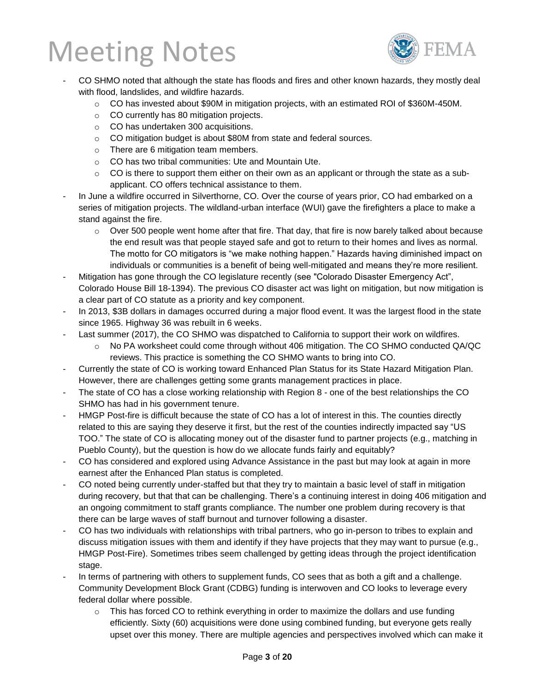

- CO SHMO noted that although the state has floods and fires and other known hazards, they mostly deal with flood, landslides, and wildfire hazards.
	- $\circ$  CO has invested about \$90M in mitigation projects, with an estimated ROI of \$360M-450M.
	- o CO currently has 80 mitigation projects.
	- o CO has undertaken 300 acquisitions.
	- o CO mitigation budget is about \$80M from state and federal sources.
	- o There are 6 mitigation team members.
	- o CO has two tribal communities: Ute and Mountain Ute.
	- $\circ$  CO is there to support them either on their own as an applicant or through the state as a subapplicant. CO offers technical assistance to them.
- In June a wildfire occurred in Silverthorne, CO. Over the course of years prior, CO had embarked on a series of mitigation projects. The wildland-urban interface (WUI) gave the firefighters a place to make a stand against the fire.
	- $\circ$  Over 500 people went home after that fire. That day, that fire is now barely talked about because the end result was that people stayed safe and got to return to their homes and lives as normal. The motto for CO mitigators is "we make nothing happen." Hazards having diminished impact on individuals or communities is a benefit of being well-mitigated and means they're more resilient.
- Mitigation has gone through the CO legislature recently (see "Colorado Disaster Emergency Act", Colorado House Bill 18-1394). The previous CO disaster act was light on mitigation, but now mitigation is a clear part of CO statute as a priority and key component.
- In 2013, \$3B dollars in damages occurred during a major flood event. It was the largest flood in the state since 1965. Highway 36 was rebuilt in 6 weeks.
- Last summer (2017), the CO SHMO was dispatched to California to support their work on wildfires.
	- o No PA worksheet could come through without 406 mitigation. The CO SHMO conducted QA/QC reviews. This practice is something the CO SHMO wants to bring into CO.
- Currently the state of CO is working toward Enhanced Plan Status for its State Hazard Mitigation Plan. However, there are challenges getting some grants management practices in place.
- The state of CO has a close working relationship with Region 8 one of the best relationships the CO SHMO has had in his government tenure.
- HMGP Post-fire is difficult because the state of CO has a lot of interest in this. The counties directly related to this are saying they deserve it first, but the rest of the counties indirectly impacted say "US TOO." The state of CO is allocating money out of the disaster fund to partner projects (e.g., matching in Pueblo County), but the question is how do we allocate funds fairly and equitably?
- CO has considered and explored using Advance Assistance in the past but may look at again in more earnest after the Enhanced Plan status is completed.
- CO noted being currently under-staffed but that they try to maintain a basic level of staff in mitigation during recovery, but that that can be challenging. There's a continuing interest in doing 406 mitigation and an ongoing commitment to staff grants compliance. The number one problem during recovery is that there can be large waves of staff burnout and turnover following a disaster.
- CO has two individuals with relationships with tribal partners, who go in-person to tribes to explain and discuss mitigation issues with them and identify if they have projects that they may want to pursue (e.g., HMGP Post-Fire). Sometimes tribes seem challenged by getting ideas through the project identification stage.
- In terms of partnering with others to supplement funds, CO sees that as both a gift and a challenge. Community Development Block Grant (CDBG) funding is interwoven and CO looks to leverage every federal dollar where possible.
	- $\circ$  This has forced CO to rethink everything in order to maximize the dollars and use funding efficiently. Sixty (60) acquisitions were done using combined funding, but everyone gets really upset over this money. There are multiple agencies and perspectives involved which can make it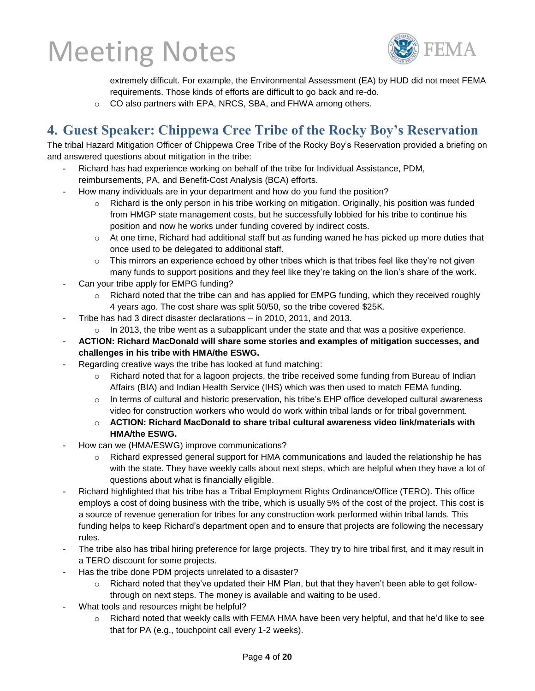

extremely difficult. For example, the Environmental Assessment (EA) by HUD did not meet FEMA requirements. Those kinds of efforts are difficult to go back and re-do.

o CO also partners with EPA, NRCS, SBA, and FHWA among others.

### **4. Guest Speaker: Chippewa Cree Tribe of the Rocky Boy's Reservation**

The tribal Hazard Mitigation Officer of Chippewa Cree Tribe of the Rocky Boy's Reservation provided a briefing on and answered questions about mitigation in the tribe:

- Richard has had experience working on behalf of the tribe for Individual Assistance, PDM, reimbursements, PA, and Benefit-Cost Analysis (BCA) efforts.
- How many individuals are in your department and how do you fund the position?
	- $\circ$  Richard is the only person in his tribe working on mitigation. Originally, his position was funded from HMGP state management costs, but he successfully lobbied for his tribe to continue his position and now he works under funding covered by indirect costs.
	- $\circ$  At one time, Richard had additional staff but as funding waned he has picked up more duties that once used to be delegated to additional staff.
	- $\circ$  This mirrors an experience echoed by other tribes which is that tribes feel like they're not given many funds to support positions and they feel like they're taking on the lion's share of the work.
- Can your tribe apply for EMPG funding?
	- $\circ$  Richard noted that the tribe can and has applied for EMPG funding, which they received roughly 4 years ago. The cost share was split 50/50, so the tribe covered \$25K.
- Tribe has had 3 direct disaster declarations in 2010, 2011, and 2013.
	- $\circ$  In 2013, the tribe went as a subapplicant under the state and that was a positive experience.
- **ACTION: Richard MacDonald will share some stories and examples of mitigation successes, and challenges in his tribe with HMA/the ESWG.**
- Regarding creative ways the tribe has looked at fund matching:
	- $\circ$  Richard noted that for a lagoon projects, the tribe received some funding from Bureau of Indian Affairs (BIA) and Indian Health Service (IHS) which was then used to match FEMA funding.
	- $\circ$  In terms of cultural and historic preservation, his tribe's EHP office developed cultural awareness video for construction workers who would do work within tribal lands or for tribal government.
	- o **ACTION: Richard MacDonald to share tribal cultural awareness video link/materials with HMA/the ESWG.**
- How can we (HMA/ESWG) improve communications?
	- $\circ$  Richard expressed general support for HMA communications and lauded the relationship he has with the state. They have weekly calls about next steps, which are helpful when they have a lot of questions about what is financially eligible.
- Richard highlighted that his tribe has a Tribal Employment Rights Ordinance/Office (TERO). This office employs a cost of doing business with the tribe, which is usually 5% of the cost of the project. This cost is a source of revenue generation for tribes for any construction work performed within tribal lands. This funding helps to keep Richard's department open and to ensure that projects are following the necessary rules.
- The tribe also has tribal hiring preference for large projects. They try to hire tribal first, and it may result in a TERO discount for some projects.
- Has the tribe done PDM projects unrelated to a disaster?
	- $\circ$  Richard noted that they've updated their HM Plan, but that they haven't been able to get followthrough on next steps. The money is available and waiting to be used.
- What tools and resources might be helpful?
	- o Richard noted that weekly calls with FEMA HMA have been very helpful, and that he'd like to see that for PA (e.g., touchpoint call every 1-2 weeks).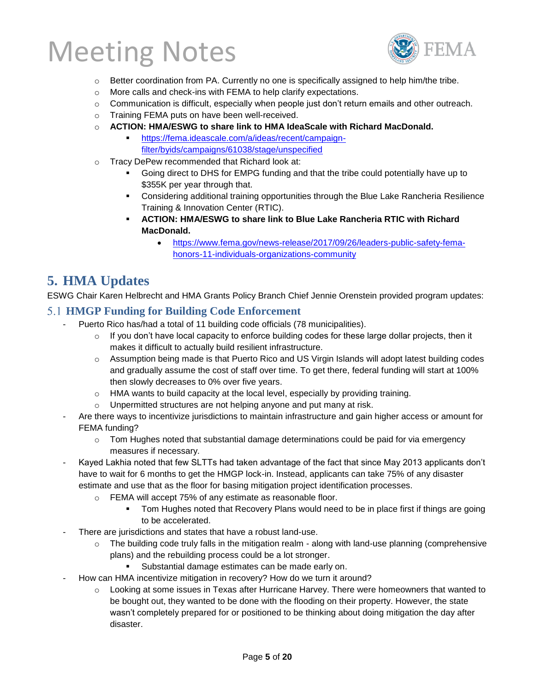

- $\circ$  Better coordination from PA. Currently no one is specifically assigned to help him/the tribe.
- o More calls and check-ins with FEMA to help clarify expectations.
- $\circ$  Communication is difficult, especially when people just don't return emails and other outreach.
- o Training FEMA puts on have been well-received.
- o **ACTION: HMA/ESWG to share link to HMA IdeaScale with Richard MacDonald.**
	- [https://fema.ideascale.com/a/ideas/recent/campaign](https://fema.ideascale.com/a/ideas/recent/campaign-filter/byids/campaigns/61038/stage/unspecified)[filter/byids/campaigns/61038/stage/unspecified](https://fema.ideascale.com/a/ideas/recent/campaign-filter/byids/campaigns/61038/stage/unspecified)
- o Tracy DePew recommended that Richard look at:
	- Going direct to DHS for EMPG funding and that the tribe could potentially have up to \$355K per year through that.
	- **Considering additional training opportunities through the Blue Lake Rancheria Resilience** Training & Innovation Center (RTIC).
	- **ACTION: HMA/ESWG to share link to Blue Lake Rancheria RTIC with Richard MacDonald.**
		- [https://www.fema.gov/news-release/2017/09/26/leaders-public-safety-fema](https://www.fema.gov/news-release/2017/09/26/leaders-public-safety-fema-honors-11-individuals-organizations-community)[honors-11-individuals-organizations-community](https://www.fema.gov/news-release/2017/09/26/leaders-public-safety-fema-honors-11-individuals-organizations-community)

### **5. HMA Updates**

ESWG Chair Karen Helbrecht and HMA Grants Policy Branch Chief Jennie Orenstein provided program updates:

#### **HMGP Funding for Building Code Enforcement**

- Puerto Rico has/had a total of 11 building code officials (78 municipalities).
	- $\circ$  If you don't have local capacity to enforce building codes for these large dollar projects, then it makes it difficult to actually build resilient infrastructure.
	- $\circ$  Assumption being made is that Puerto Rico and US Virgin Islands will adopt latest building codes and gradually assume the cost of staff over time. To get there, federal funding will start at 100% then slowly decreases to 0% over five years.
	- $\circ$  HMA wants to build capacity at the local level, especially by providing training.
	- o Unpermitted structures are not helping anyone and put many at risk.
- Are there ways to incentivize jurisdictions to maintain infrastructure and gain higher access or amount for FEMA funding?
	- $\circ$  Tom Hughes noted that substantial damage determinations could be paid for via emergency measures if necessary.
- Kayed Lakhia noted that few SLTTs had taken advantage of the fact that since May 2013 applicants don't have to wait for 6 months to get the HMGP lock-in. Instead, applicants can take 75% of any disaster estimate and use that as the floor for basing mitigation project identification processes.
	- o FEMA will accept 75% of any estimate as reasonable floor.
		- **Tom Hughes noted that Recovery Plans would need to be in place first if things are going** to be accelerated.
- There are jurisdictions and states that have a robust land-use.
	- $\circ$  The building code truly falls in the mitigation realm along with land-use planning (comprehensive plans) and the rebuilding process could be a lot stronger.
		- **EXECUTE:** Substantial damage estimates can be made early on.
- How can HMA incentivize mitigation in recovery? How do we turn it around?
	- $\circ$  Looking at some issues in Texas after Hurricane Harvey. There were homeowners that wanted to be bought out, they wanted to be done with the flooding on their property. However, the state wasn't completely prepared for or positioned to be thinking about doing mitigation the day after disaster.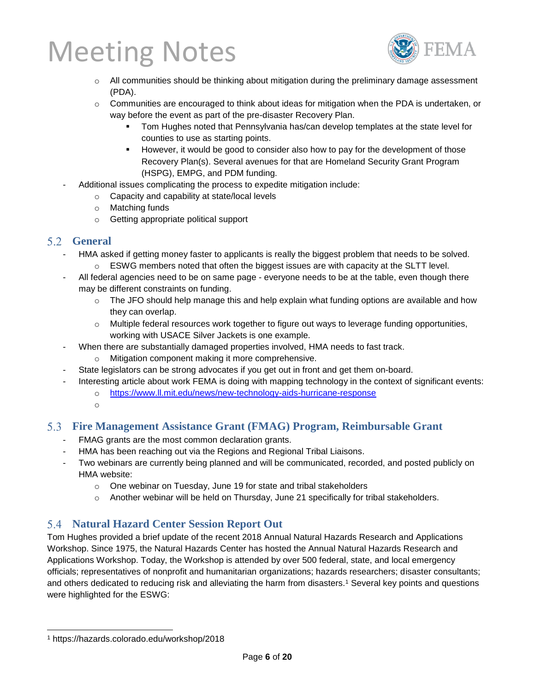

- o All communities should be thinking about mitigation during the preliminary damage assessment (PDA).
- $\circ$  Communities are encouraged to think about ideas for mitigation when the PDA is undertaken, or way before the event as part of the pre-disaster Recovery Plan.
	- Tom Hughes noted that Pennsylvania has/can develop templates at the state level for counties to use as starting points.
	- However, it would be good to consider also how to pay for the development of those Recovery Plan(s). Several avenues for that are Homeland Security Grant Program (HSPG), EMPG, and PDM funding.
- Additional issues complicating the process to expedite mitigation include:
	- o Capacity and capability at state/local levels
	- o Matching funds
	- o Getting appropriate political support

#### **General**

- HMA asked if getting money faster to applicants is really the biggest problem that needs to be solved.
	- $\circ$  ESWG members noted that often the biggest issues are with capacity at the SLTT level.
- All federal agencies need to be on same page everyone needs to be at the table, even though there may be different constraints on funding.
	- o The JFO should help manage this and help explain what funding options are available and how they can overlap.
	- $\circ$  Multiple federal resources work together to figure out ways to leverage funding opportunities, working with USACE Silver Jackets is one example.
- When there are substantially damaged properties involved, HMA needs to fast track.
	- o Mitigation component making it more comprehensive.
	- State legislators can be strong advocates if you get out in front and get them on-board.
- Interesting article about work FEMA is doing with mapping technology in the context of significant events:
	- o <https://www.ll.mit.edu/news/new-technology-aids-hurricane-response>
	- o

#### **Fire Management Assistance Grant (FMAG) Program, Reimbursable Grant**

- FMAG grants are the most common declaration grants.
- HMA has been reaching out via the Regions and Regional Tribal Liaisons.
- Two webinars are currently being planned and will be communicated, recorded, and posted publicly on HMA website:
	- o One webinar on Tuesday, June 19 for state and tribal stakeholders
	- $\circ$  Another webinar will be held on Thursday, June 21 specifically for tribal stakeholders.

### **Natural Hazard Center Session Report Out**

Tom Hughes provided a brief update of the recent 2018 Annual Natural Hazards Research and Applications Workshop. Since 1975, the Natural Hazards Center has hosted the Annual Natural Hazards Research and Applications Workshop. Today, the Workshop is attended by over 500 federal, state, and local emergency officials; representatives of nonprofit and humanitarian organizations; hazards researchers; disaster consultants; and others dedicated to reducing risk and alleviating the harm from disasters.<sup>1</sup> Several key points and questions were highlighted for the ESWG:

l <sup>1</sup> https://hazards.colorado.edu/workshop/2018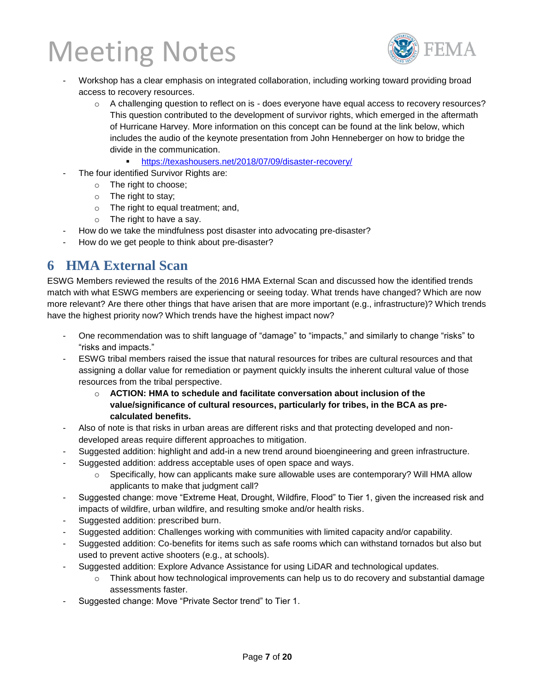

- Workshop has a clear emphasis on integrated collaboration, including working toward providing broad access to recovery resources.
	- $\circ$  A challenging question to reflect on is does everyone have equal access to recovery resources? This question contributed to the development of survivor rights, which emerged in the aftermath of Hurricane Harvey. More information on this concept can be found at the link below, which includes the audio of the keynote presentation from John Henneberger on how to bridge the divide in the communication.
		- <https://texashousers.net/2018/07/09/disaster-recovery/>
- The four identified Survivor Rights are:
	- o The right to choose;
	- o The right to stay;
	- o The right to equal treatment; and,
	- o The right to have a say.
- How do we take the mindfulness post disaster into advocating pre-disaster?
- How do we get people to think about pre-disaster?

### **6 HMA External Scan**

ESWG Members reviewed the results of the 2016 HMA External Scan and discussed how the identified trends match with what ESWG members are experiencing or seeing today. What trends have changed? Which are now more relevant? Are there other things that have arisen that are more important (e.g., infrastructure)? Which trends have the highest priority now? Which trends have the highest impact now?

- One recommendation was to shift language of "damage" to "impacts," and similarly to change "risks" to "risks and impacts."
- ESWG tribal members raised the issue that natural resources for tribes are cultural resources and that assigning a dollar value for remediation or payment quickly insults the inherent cultural value of those resources from the tribal perspective.
	- o **ACTION: HMA to schedule and facilitate conversation about inclusion of the value/significance of cultural resources, particularly for tribes, in the BCA as precalculated benefits.**
- Also of note is that risks in urban areas are different risks and that protecting developed and nondeveloped areas require different approaches to mitigation.
- Suggested addition: highlight and add-in a new trend around bioengineering and green infrastructure.
- Suggested addition: address acceptable uses of open space and ways.
	- $\circ$  Specifically, how can applicants make sure allowable uses are contemporary? Will HMA allow applicants to make that judgment call?
- Suggested change: move "Extreme Heat, Drought, Wildfire, Flood" to Tier 1, given the increased risk and impacts of wildfire, urban wildfire, and resulting smoke and/or health risks.
- Suggested addition: prescribed burn.
- Suggested addition: Challenges working with communities with limited capacity and/or capability.
- Suggested addition: Co-benefits for items such as safe rooms which can withstand tornados but also but used to prevent active shooters (e.g., at schools).
- Suggested addition: Explore Advance Assistance for using LiDAR and technological updates.
	- $\circ$  Think about how technological improvements can help us to do recovery and substantial damage assessments faster.
- Suggested change: Move "Private Sector trend" to Tier 1.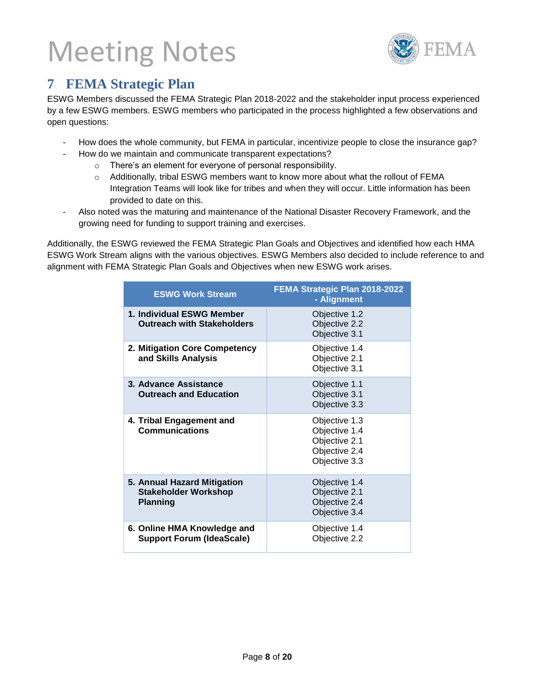

### **7 FEMA Strategic Plan**

ESWG Members discussed the FEMA Strategic Plan 2018-2022 and the stakeholder input process experienced by a few ESWG members. ESWG members who participated in the process highlighted a few observations and open questions:

- How does the whole community, but FEMA in particular, incentivize people to close the insurance gap?
- How do we maintain and communicate transparent expectations?
	- o There's an element for everyone of personal responsibility.
	- o Additionally, tribal ESWG members want to know more about what the rollout of FEMA Integration Teams will look like for tribes and when they will occur. Little information has been provided to date on this.
- Also noted was the maturing and maintenance of the National Disaster Recovery Framework, and the growing need for funding to support training and exercises.

Additionally, the ESWG reviewed the FEMA Strategic Plan Goals and Objectives and identified how each HMA ESWG Work Stream aligns with the various objectives. ESWG Members also decided to include reference to and alignment with FEMA Strategic Plan Goals and Objectives when new ESWG work arises.

| <b>ESWG Work Stream</b>                                                       | FEMA Strategic Plan 2018-2022<br>- Alignment                                      |
|-------------------------------------------------------------------------------|-----------------------------------------------------------------------------------|
| 1. Individual ESWG Member<br><b>Outreach with Stakeholders</b>                | Objective 1.2<br>Objective 2.2<br>Objective 3.1                                   |
| 2. Mitigation Core Competency<br>and Skills Analysis                          | Objective 1.4<br>Objective 2.1<br>Objective 3.1                                   |
| 3. Advance Assistance<br><b>Outreach and Education</b>                        | Objective 1.1<br>Objective 3.1<br>Objective 3.3                                   |
| 4. Tribal Engagement and<br><b>Communications</b>                             | Objective 1.3<br>Objective 1.4<br>Objective 2.1<br>Objective 2.4<br>Objective 3.3 |
| 5. Annual Hazard Mitigation<br><b>Stakeholder Workshop</b><br><b>Planning</b> | Objective 1.4<br>Objective 2.1<br>Objective 2.4<br>Objective 3.4                  |
| 6. Online HMA Knowledge and<br><b>Support Forum (IdeaScale)</b>               | Objective 1.4<br>Objective 2.2                                                    |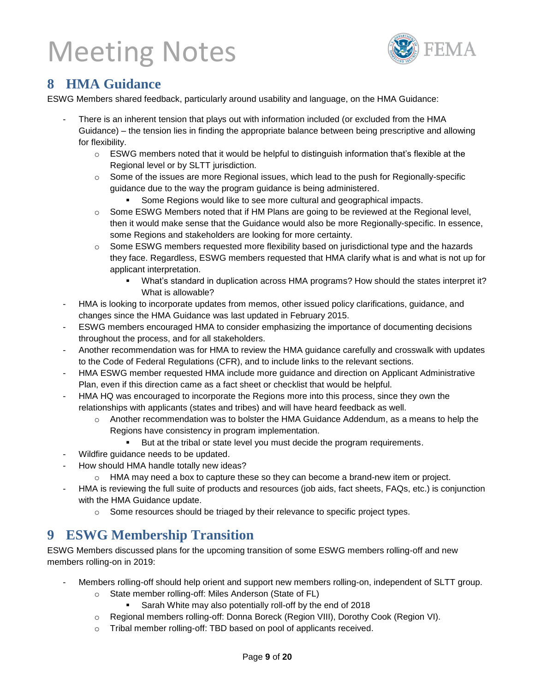

### **8 HMA Guidance**

ESWG Members shared feedback, particularly around usability and language, on the HMA Guidance:

- There is an inherent tension that plays out with information included (or excluded from the HMA Guidance) – the tension lies in finding the appropriate balance between being prescriptive and allowing for flexibility.
	- $\circ$  ESWG members noted that it would be helpful to distinguish information that's flexible at the Regional level or by SLTT jurisdiction.
	- $\circ$  Some of the issues are more Regional issues, which lead to the push for Regionally-specific guidance due to the way the program guidance is being administered.
		- Some Regions would like to see more cultural and geographical impacts.
	- $\circ$  Some ESWG Members noted that if HM Plans are going to be reviewed at the Regional level, then it would make sense that the Guidance would also be more Regionally-specific. In essence, some Regions and stakeholders are looking for more certainty.
	- $\circ$  Some ESWG members requested more flexibility based on jurisdictional type and the hazards they face. Regardless, ESWG members requested that HMA clarify what is and what is not up for applicant interpretation.
		- What's standard in duplication across HMA programs? How should the states interpret it? What is allowable?
- HMA is looking to incorporate updates from memos, other issued policy clarifications, guidance, and changes since the HMA Guidance was last updated in February 2015.
- ESWG members encouraged HMA to consider emphasizing the importance of documenting decisions throughout the process, and for all stakeholders.
- Another recommendation was for HMA to review the HMA guidance carefully and crosswalk with updates to the Code of Federal Regulations (CFR), and to include links to the relevant sections.
- HMA ESWG member requested HMA include more guidance and direction on Applicant Administrative Plan, even if this direction came as a fact sheet or checklist that would be helpful.
- HMA HQ was encouraged to incorporate the Regions more into this process, since they own the relationships with applicants (states and tribes) and will have heard feedback as well.
	- o Another recommendation was to bolster the HMA Guidance Addendum, as a means to help the Regions have consistency in program implementation.
		- But at the tribal or state level you must decide the program requirements.
- Wildfire guidance needs to be updated.
- How should HMA handle totally new ideas?
	- $\circ$  HMA may need a box to capture these so they can become a brand-new item or project.
- HMA is reviewing the full suite of products and resources (job aids, fact sheets, FAQs, etc.) is conjunction with the HMA Guidance update.
	- o Some resources should be triaged by their relevance to specific project types.

### **9 ESWG Membership Transition**

ESWG Members discussed plans for the upcoming transition of some ESWG members rolling-off and new members rolling-on in 2019:

- Members rolling-off should help orient and support new members rolling-on, independent of SLTT group.
	- o State member rolling-off: Miles Anderson (State of FL)
		- Sarah White may also potentially roll-off by the end of 2018
	- o Regional members rolling-off: Donna Boreck (Region VIII), Dorothy Cook (Region VI).
	- o Tribal member rolling-off: TBD based on pool of applicants received.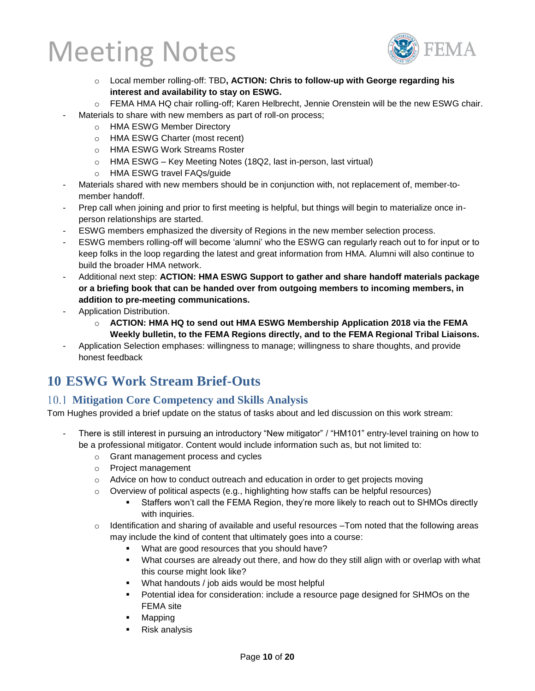

- o Local member rolling-off: TBD**, ACTION: Chris to follow-up with George regarding his interest and availability to stay on ESWG.**
- o FEMA HMA HQ chair rolling-off; Karen Helbrecht, Jennie Orenstein will be the new ESWG chair.
- Materials to share with new members as part of roll-on process;
	- o HMA ESWG Member Directory
	- o HMA ESWG Charter (most recent)
	- o HMA ESWG Work Streams Roster
	- o HMA ESWG Key Meeting Notes (18Q2, last in-person, last virtual)
	- o HMA ESWG travel FAQs/guide
- Materials shared with new members should be in conjunction with, not replacement of, member-tomember handoff.
- Prep call when joining and prior to first meeting is helpful, but things will begin to materialize once inperson relationships are started.
- ESWG members emphasized the diversity of Regions in the new member selection process.
- ESWG members rolling-off will become 'alumni' who the ESWG can regularly reach out to for input or to keep folks in the loop regarding the latest and great information from HMA. Alumni will also continue to build the broader HMA network.
- Additional next step: **ACTION: HMA ESWG Support to gather and share handoff materials package or a briefing book that can be handed over from outgoing members to incoming members, in addition to pre-meeting communications.**
- Application Distribution.
	- o **ACTION: HMA HQ to send out HMA ESWG Membership Application 2018 via the FEMA Weekly bulletin, to the FEMA Regions directly, and to the FEMA Regional Tribal Liaisons.**
- Application Selection emphases: willingness to manage; willingness to share thoughts, and provide honest feedback

## **10 ESWG Work Stream Brief-Outs**

#### **Mitigation Core Competency and Skills Analysis**

Tom Hughes provided a brief update on the status of tasks about and led discussion on this work stream:

- There is still interest in pursuing an introductory "New mitigator" / "HM101" entry-level training on how to be a professional mitigator. Content would include information such as, but not limited to:
	- o Grant management process and cycles
	- o Project management
	- $\circ$  Advice on how to conduct outreach and education in order to get projects moving
	- $\circ$  Overview of political aspects (e.g., highlighting how staffs can be helpful resources)
		- Staffers won't call the FEMA Region, they're more likely to reach out to SHMOs directly with inquiries.
	- o Identification and sharing of available and useful resources –Tom noted that the following areas may include the kind of content that ultimately goes into a course:
		- What are good resources that you should have?
		- What courses are already out there, and how do they still align with or overlap with what this course might look like?
		- What handouts / job aids would be most helpful
		- Potential idea for consideration: include a resource page designed for SHMOs on the FEMA site
		- **Mapping**
		- Risk analysis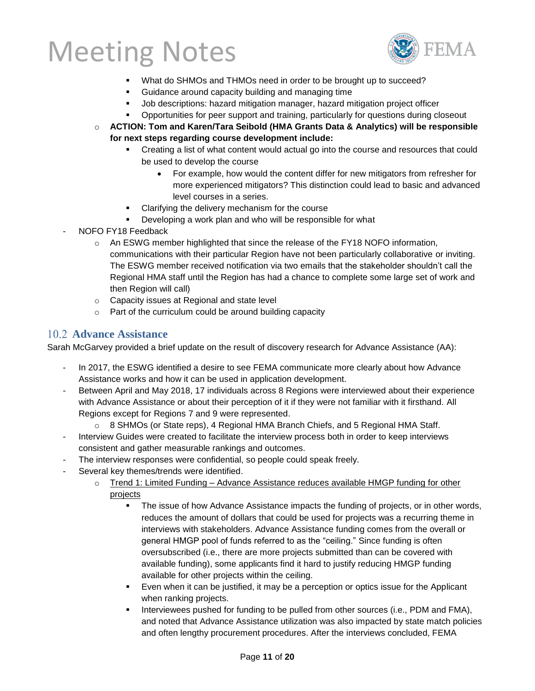

- What do SHMOs and THMOs need in order to be brought up to succeed?
- Guidance around capacity building and managing time
- Job descriptions: hazard mitigation manager, hazard mitigation project officer
- Opportunities for peer support and training, particularly for questions during closeout
- o **ACTION: Tom and Karen/Tara Seibold (HMA Grants Data & Analytics) will be responsible for next steps regarding course development include:**
	- Creating a list of what content would actual go into the course and resources that could be used to develop the course
		- For example, how would the content differ for new mitigators from refresher for more experienced mitigators? This distinction could lead to basic and advanced level courses in a series.
	- Clarifying the delivery mechanism for the course
	- Developing a work plan and who will be responsible for what
- NOFO FY18 Feedback
	- $\circ$  An ESWG member highlighted that since the release of the FY18 NOFO information, communications with their particular Region have not been particularly collaborative or inviting. The ESWG member received notification via two emails that the stakeholder shouldn't call the Regional HMA staff until the Region has had a chance to complete some large set of work and then Region will call)
	- o Capacity issues at Regional and state level
	- o Part of the curriculum could be around building capacity

#### **Advance Assistance**

Sarah McGarvey provided a brief update on the result of discovery research for Advance Assistance (AA):

- In 2017, the ESWG identified a desire to see FEMA communicate more clearly about how Advance Assistance works and how it can be used in application development.
- Between April and May 2018, 17 individuals across 8 Regions were interviewed about their experience with Advance Assistance or about their perception of it if they were not familiar with it firsthand. All Regions except for Regions 7 and 9 were represented.
	- $\circ$  8 SHMOs (or State reps), 4 Regional HMA Branch Chiefs, and 5 Regional HMA Staff.
- Interview Guides were created to facilitate the interview process both in order to keep interviews consistent and gather measurable rankings and outcomes.
- The interview responses were confidential, so people could speak freely.
- Several key themes/trends were identified.
	- $\circ$  Trend 1: Limited Funding Advance Assistance reduces available HMGP funding for other projects
		- The issue of how Advance Assistance impacts the funding of projects, or in other words, reduces the amount of dollars that could be used for projects was a recurring theme in interviews with stakeholders. Advance Assistance funding comes from the overall or general HMGP pool of funds referred to as the "ceiling." Since funding is often oversubscribed (i.e., there are more projects submitted than can be covered with available funding), some applicants find it hard to justify reducing HMGP funding available for other projects within the ceiling.
		- Even when it can be justified, it may be a perception or optics issue for the Applicant when ranking projects.
		- **.** Interviewees pushed for funding to be pulled from other sources (i.e., PDM and FMA), and noted that Advance Assistance utilization was also impacted by state match policies and often lengthy procurement procedures. After the interviews concluded, FEMA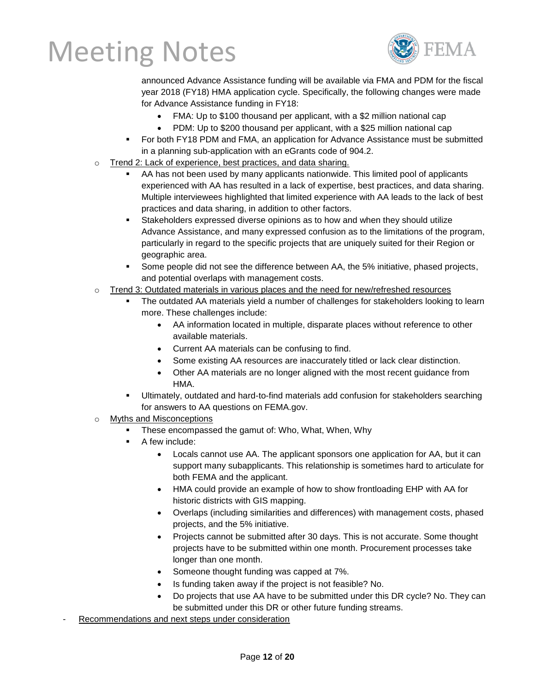

announced Advance Assistance funding will be available via FMA and PDM for the fiscal year 2018 (FY18) HMA application cycle. Specifically, the following changes were made for Advance Assistance funding in FY18:

- FMA: Up to \$100 thousand per applicant, with a \$2 million national cap
- PDM: Up to \$200 thousand per applicant, with a \$25 million national cap
- For both FY18 PDM and FMA, an application for Advance Assistance must be submitted in a planning sub-application with an eGrants code of 904.2.
- o Trend 2: Lack of experience, best practices, and data sharing.
	- AA has not been used by many applicants nationwide. This limited pool of applicants experienced with AA has resulted in a lack of expertise, best practices, and data sharing. Multiple interviewees highlighted that limited experience with AA leads to the lack of best practices and data sharing, in addition to other factors.
	- **EXECTA Stakeholders expressed diverse opinions as to how and when they should utilize** Advance Assistance, and many expressed confusion as to the limitations of the program, particularly in regard to the specific projects that are uniquely suited for their Region or geographic area.
	- Some people did not see the difference between AA, the 5% initiative, phased projects, and potential overlaps with management costs.
- o Trend 3: Outdated materials in various places and the need for new/refreshed resources
	- The outdated AA materials yield a number of challenges for stakeholders looking to learn more. These challenges include:
		- AA information located in multiple, disparate places without reference to other available materials.
		- Current AA materials can be confusing to find.
		- Some existing AA resources are inaccurately titled or lack clear distinction.
		- Other AA materials are no longer aligned with the most recent guidance from HMA.
	- Ultimately, outdated and hard-to-find materials add confusion for stakeholders searching for answers to AA questions on FEMA.gov.
- o Myths and Misconceptions
	- These encompassed the gamut of: Who, What, When, Why
	- A few include:
		- Locals cannot use AA. The applicant sponsors one application for AA, but it can support many subapplicants. This relationship is sometimes hard to articulate for both FEMA and the applicant.
		- HMA could provide an example of how to show frontloading EHP with AA for historic districts with GIS mapping.
		- Overlaps (including similarities and differences) with management costs, phased projects, and the 5% initiative.
		- Projects cannot be submitted after 30 days. This is not accurate. Some thought projects have to be submitted within one month. Procurement processes take longer than one month.
		- Someone thought funding was capped at 7%.
		- Is funding taken away if the project is not feasible? No.
		- Do projects that use AA have to be submitted under this DR cycle? No. They can be submitted under this DR or other future funding streams.
- Recommendations and next steps under consideration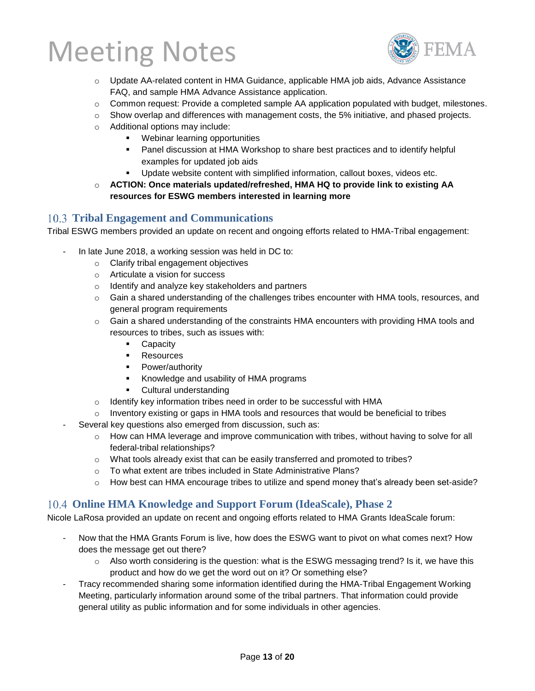

- o Update AA-related content in HMA Guidance, applicable HMA job aids, Advance Assistance FAQ, and sample HMA Advance Assistance application.
- $\circ$  Common request: Provide a completed sample AA application populated with budget, milestones.
- $\circ$  Show overlap and differences with management costs, the 5% initiative, and phased projects.
- o Additional options may include:
	- Webinar learning opportunities
	- **Panel discussion at HMA Workshop to share best practices and to identify helpful** examples for updated job aids
	- Update website content with simplified information, callout boxes, videos etc.
- o **ACTION: Once materials updated/refreshed, HMA HQ to provide link to existing AA resources for ESWG members interested in learning more**

#### **Tribal Engagement and Communications**

Tribal ESWG members provided an update on recent and ongoing efforts related to HMA-Tribal engagement:

- In late June 2018, a working session was held in DC to:
	- o Clarify tribal engagement objectives
	- o Articulate a vision for success
	- o Identify and analyze key stakeholders and partners
	- o Gain a shared understanding of the challenges tribes encounter with HMA tools, resources, and general program requirements
	- $\circ$  Gain a shared understanding of the constraints HMA encounters with providing HMA tools and resources to tribes, such as issues with:
		- Capacity
		- Resources
		- **•** Power/authority
		- Knowledge and usability of HMA programs
		- Cultural understanding
	- o Identify key information tribes need in order to be successful with HMA
	- o Inventory existing or gaps in HMA tools and resources that would be beneficial to tribes
- Several key questions also emerged from discussion, such as:
	- $\circ$  How can HMA leverage and improve communication with tribes, without having to solve for all federal-tribal relationships?
	- $\circ$  What tools already exist that can be easily transferred and promoted to tribes?
	- o To what extent are tribes included in State Administrative Plans?
	- $\circ$  How best can HMA encourage tribes to utilize and spend money that's already been set-aside?

#### **Online HMA Knowledge and Support Forum (IdeaScale), Phase 2**

Nicole LaRosa provided an update on recent and ongoing efforts related to HMA Grants IdeaScale forum:

- Now that the HMA Grants Forum is live, how does the ESWG want to pivot on what comes next? How does the message get out there?
	- o Also worth considering is the question: what is the ESWG messaging trend? Is it, we have this product and how do we get the word out on it? Or something else?
- Tracy recommended sharing some information identified during the HMA-Tribal Engagement Working Meeting, particularly information around some of the tribal partners. That information could provide general utility as public information and for some individuals in other agencies.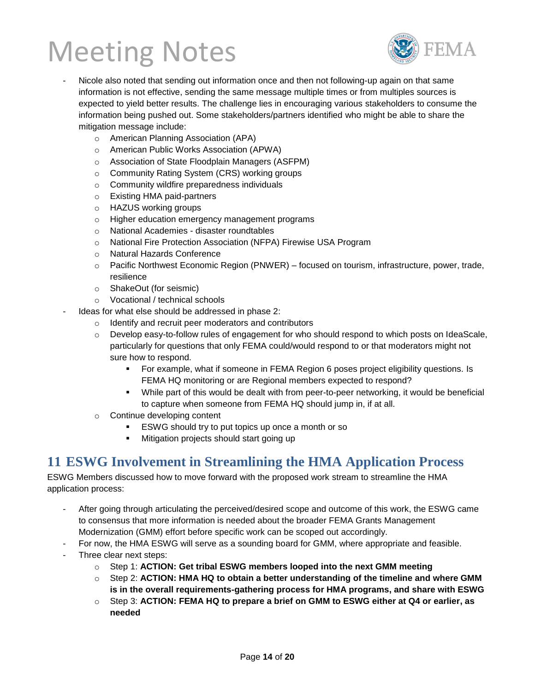

- Nicole also noted that sending out information once and then not following-up again on that same information is not effective, sending the same message multiple times or from multiples sources is expected to yield better results. The challenge lies in encouraging various stakeholders to consume the information being pushed out. Some stakeholders/partners identified who might be able to share the mitigation message include:
	- o American Planning Association (APA)
	- o American Public Works Association (APWA)
	- o Association of State Floodplain Managers (ASFPM)
	- o Community Rating System (CRS) working groups
	- o Community wildfire preparedness individuals
	- o Existing HMA paid-partners
	- o HAZUS working groups
	- o Higher education emergency management programs
	- o National Academies disaster roundtables
	- o National Fire Protection Association (NFPA) Firewise USA Program
	- o Natural Hazards Conference
	- $\circ$  Pacific Northwest Economic Region (PNWER) focused on tourism, infrastructure, power, trade, resilience
	- o ShakeOut (for seismic)
	- o Vocational / technical schools
	- Ideas for what else should be addressed in phase 2:
		- o Identify and recruit peer moderators and contributors
		- o Develop easy-to-follow rules of engagement for who should respond to which posts on IdeaScale, particularly for questions that only FEMA could/would respond to or that moderators might not sure how to respond.
			- For example, what if someone in FEMA Region 6 poses project eligibility questions. Is FEMA HQ monitoring or are Regional members expected to respond?
			- While part of this would be dealt with from peer-to-peer networking, it would be beneficial to capture when someone from FEMA HQ should jump in, if at all.
		- o Continue developing content
			- ESWG should try to put topics up once a month or so
			- Mitigation projects should start going up

### **11 ESWG Involvement in Streamlining the HMA Application Process**

ESWG Members discussed how to move forward with the proposed work stream to streamline the HMA application process:

- After going through articulating the perceived/desired scope and outcome of this work, the ESWG came to consensus that more information is needed about the broader FEMA Grants Management Modernization (GMM) effort before specific work can be scoped out accordingly.
	- For now, the HMA ESWG will serve as a sounding board for GMM, where appropriate and feasible.
- Three clear next steps:
	- o Step 1: **ACTION: Get tribal ESWG members looped into the next GMM meeting**
	- o Step 2: **ACTION: HMA HQ to obtain a better understanding of the timeline and where GMM is in the overall requirements-gathering process for HMA programs, and share with ESWG**
	- o Step 3: **ACTION: FEMA HQ to prepare a brief on GMM to ESWG either at Q4 or earlier, as needed**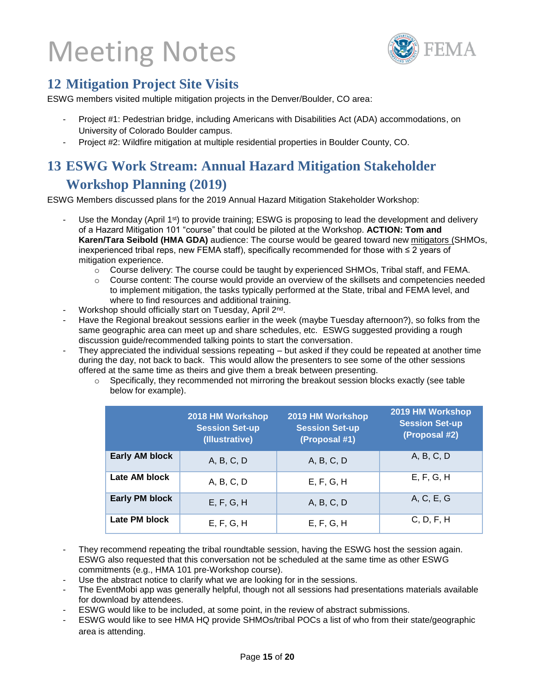

### **12 Mitigation Project Site Visits**

ESWG members visited multiple mitigation projects in the Denver/Boulder, CO area:

- Project #1: Pedestrian bridge, including Americans with Disabilities Act (ADA) accommodations, on University of Colorado Boulder campus.
- Project #2: Wildfire mitigation at multiple residential properties in Boulder County, CO.

### **13 ESWG Work Stream: Annual Hazard Mitigation Stakeholder Workshop Planning (2019)**

ESWG Members discussed plans for the 2019 Annual Hazard Mitigation Stakeholder Workshop:

- Use the Monday (April 1<sup>st</sup>) to provide training; ESWG is proposing to lead the development and delivery of a Hazard Mitigation 101 "course" that could be piloted at the Workshop. **ACTION: Tom and Karen/Tara Seibold (HMA GDA)** audience: The course would be geared toward new mitigators (SHMOs, inexperienced tribal reps, new FEMA staff), specifically recommended for those with ≤ 2 years of mitigation experience.
	- $\circ$  Course delivery: The course could be taught by experienced SHMOs, Tribal staff, and FEMA.
	- $\circ$  Course content: The course would provide an overview of the skillsets and competencies needed to implement mitigation, the tasks typically performed at the State, tribal and FEMA level, and where to find resources and additional training.
- Workshop should officially start on Tuesday, April 2<sup>nd</sup>.
- Have the Regional breakout sessions earlier in the week (maybe Tuesday afternoon?), so folks from the same geographic area can meet up and share schedules, etc. ESWG suggested providing a rough discussion guide/recommended talking points to start the conversation.
- They appreciated the individual sessions repeating but asked if they could be repeated at another time during the day, not back to back. This would allow the presenters to see some of the other sessions offered at the same time as theirs and give them a break between presenting.
	- $\circ$  Specifically, they recommended not mirroring the breakout session blocks exactly (see table below for example).

|                       | 2018 HM Workshop<br><b>Session Set-up</b><br>(Illustrative) | 2019 HM Workshop<br><b>Session Set-up</b><br>(Proposal #1) | 2019 HM Workshop<br><b>Session Set-up</b><br>(Proposal #2) |
|-----------------------|-------------------------------------------------------------|------------------------------------------------------------|------------------------------------------------------------|
| Early AM block        | A, B, C, D                                                  | A, B, C, D                                                 | A, B, C, D                                                 |
| Late AM block         | A, B, C, D                                                  | E, F, G, H                                                 | E, F, G, H                                                 |
| <b>Early PM block</b> | E, F, G, H                                                  | A, B, C, D                                                 | A, C, E, G                                                 |
| Late PM block         | E, F, G, H                                                  | E, F, G, H                                                 | C, D, F, H                                                 |

- They recommend repeating the tribal roundtable session, having the ESWG host the session again. ESWG also requested that this conversation not be scheduled at the same time as other ESWG commitments (e.g., HMA 101 pre-Workshop course).
- Use the abstract notice to clarify what we are looking for in the sessions.
- The EventMobi app was generally helpful, though not all sessions had presentations materials available for download by attendees.
- ESWG would like to be included, at some point, in the review of abstract submissions.
- ESWG would like to see HMA HQ provide SHMOs/tribal POCs a list of who from their state/geographic area is attending.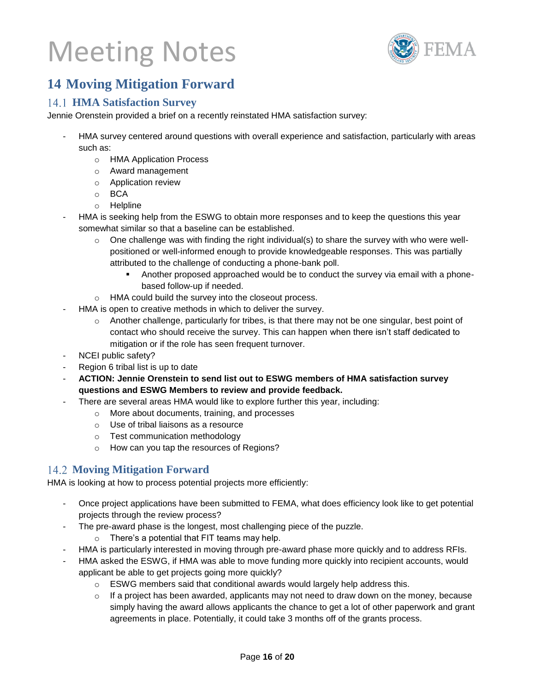

### **14 Moving Mitigation Forward**

#### **HMA Satisfaction Survey**

Jennie Orenstein provided a brief on a recently reinstated HMA satisfaction survey:

- HMA survey centered around questions with overall experience and satisfaction, particularly with areas such as:
	- o HMA Application Process
	- o Award management
	- o Application review
	- o BCA
	- o Helpline
- HMA is seeking help from the ESWG to obtain more responses and to keep the questions this year somewhat similar so that a baseline can be established.
	- $\circ$  One challenge was with finding the right individual(s) to share the survey with who were wellpositioned or well-informed enough to provide knowledgeable responses. This was partially attributed to the challenge of conducting a phone-bank poll.
		- Another proposed approached would be to conduct the survey via email with a phonebased follow-up if needed.
	- o HMA could build the survey into the closeout process.
- HMA is open to creative methods in which to deliver the survey.
	- o Another challenge, particularly for tribes, is that there may not be one singular, best point of contact who should receive the survey. This can happen when there isn't staff dedicated to mitigation or if the role has seen frequent turnover.
- NCEI public safety?
- Region 6 tribal list is up to date
- **ACTION: Jennie Orenstein to send list out to ESWG members of HMA satisfaction survey questions and ESWG Members to review and provide feedback.**
	- There are several areas HMA would like to explore further this year, including:
		- o More about documents, training, and processes
		- o Use of tribal liaisons as a resource
		- o Test communication methodology
		- o How can you tap the resources of Regions?

#### **Moving Mitigation Forward**

HMA is looking at how to process potential projects more efficiently:

- Once project applications have been submitted to FEMA, what does efficiency look like to get potential projects through the review process?
- The pre-award phase is the longest, most challenging piece of the puzzle.
	- o There's a potential that FIT teams may help.
- HMA is particularly interested in moving through pre-award phase more quickly and to address RFIs.
- HMA asked the ESWG, if HMA was able to move funding more quickly into recipient accounts, would applicant be able to get projects going more quickly?
	- $\circ$  ESWG members said that conditional awards would largely help address this.
	- $\circ$  If a project has been awarded, applicants may not need to draw down on the money, because simply having the award allows applicants the chance to get a lot of other paperwork and grant agreements in place. Potentially, it could take 3 months off of the grants process.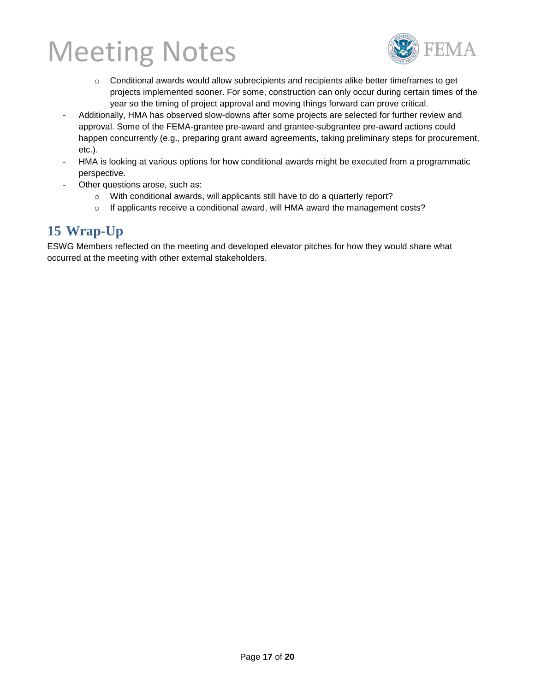

- o Conditional awards would allow subrecipients and recipients alike better timeframes to get projects implemented sooner. For some, construction can only occur during certain times of the year so the timing of project approval and moving things forward can prove critical.
- Additionally, HMA has observed slow-downs after some projects are selected for further review and approval. Some of the FEMA-grantee pre-award and grantee-subgrantee pre-award actions could happen concurrently (e.g., preparing grant award agreements, taking preliminary steps for procurement, etc.).
- HMA is looking at various options for how conditional awards might be executed from a programmatic perspective.
- Other questions arose, such as:
	- o With conditional awards, will applicants still have to do a quarterly report?
	- $\circ$  If applicants receive a conditional award, will HMA award the management costs?

### **15 Wrap-Up**

ESWG Members reflected on the meeting and developed elevator pitches for how they would share what occurred at the meeting with other external stakeholders.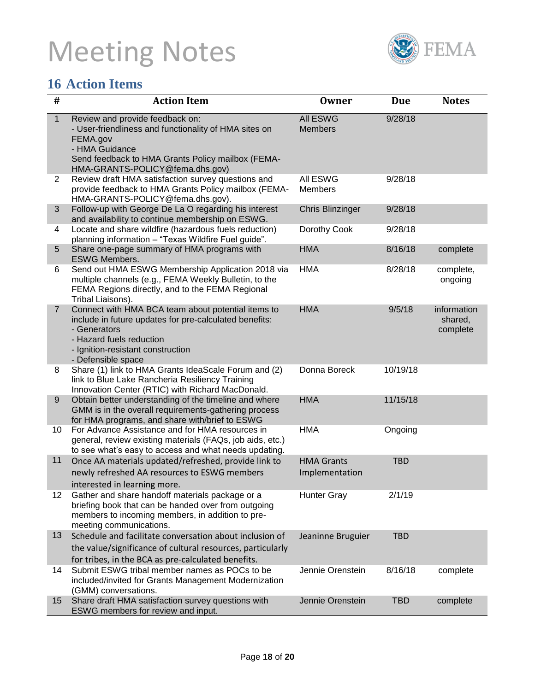

## **16 Action Items**

| $\#$           | <b>Action Item</b>                                                                                                                                                                                                  | <b>Owner</b>                        | <b>Due</b> | <b>Notes</b>                       |
|----------------|---------------------------------------------------------------------------------------------------------------------------------------------------------------------------------------------------------------------|-------------------------------------|------------|------------------------------------|
| $\mathbf{1}$   | Review and provide feedback on:<br>- User-friendliness and functionality of HMA sites on<br>FEMA.gov<br>- HMA Guidance<br>Send feedback to HMA Grants Policy mailbox (FEMA-<br>HMA-GRANTS-POLICY@fema.dhs.gov)      | <b>All ESWG</b><br><b>Members</b>   | 9/28/18    |                                    |
| $\mathbf{2}$   | Review draft HMA satisfaction survey questions and<br>provide feedback to HMA Grants Policy mailbox (FEMA-<br>HMA-GRANTS-POLICY@fema.dhs.gov).                                                                      | All ESWG<br><b>Members</b>          | 9/28/18    |                                    |
| 3              | Follow-up with George De La O regarding his interest<br>and availability to continue membership on ESWG.                                                                                                            | <b>Chris Blinzinger</b>             | 9/28/18    |                                    |
| 4              | Locate and share wildfire (hazardous fuels reduction)<br>planning information - "Texas Wildfire Fuel guide".                                                                                                        | Dorothy Cook                        | 9/28/18    |                                    |
| 5              | Share one-page summary of HMA programs with<br><b>ESWG Members.</b>                                                                                                                                                 | <b>HMA</b>                          | 8/16/18    | complete                           |
| 6              | Send out HMA ESWG Membership Application 2018 via<br>multiple channels (e.g., FEMA Weekly Bulletin, to the<br>FEMA Regions directly, and to the FEMA Regional<br>Tribal Liaisons).                                  | <b>HMA</b>                          | 8/28/18    | complete,<br>ongoing               |
| $\overline{7}$ | Connect with HMA BCA team about potential items to<br>include in future updates for pre-calculated benefits:<br>- Generators<br>- Hazard fuels reduction<br>- Ignition-resistant construction<br>- Defensible space | <b>HMA</b>                          | 9/5/18     | information<br>shared,<br>complete |
| 8              | Share (1) link to HMA Grants IdeaScale Forum and (2)<br>link to Blue Lake Rancheria Resiliency Training<br>Innovation Center (RTIC) with Richard MacDonald.                                                         | Donna Boreck                        | 10/19/18   |                                    |
| 9              | Obtain better understanding of the timeline and where<br>GMM is in the overall requirements-gathering process<br>for HMA programs, and share with/brief to ESWG                                                     | <b>HMA</b>                          | 11/15/18   |                                    |
| 10             | For Advance Assistance and for HMA resources in<br>general, review existing materials (FAQs, job aids, etc.)<br>to see what's easy to access and what needs updating.                                               | <b>HMA</b>                          | Ongoing    |                                    |
| 11             | Once AA materials updated/refreshed, provide link to<br>newly refreshed AA resources to ESWG members<br>interested in learning more.                                                                                | <b>HMA Grants</b><br>Implementation | <b>TBD</b> |                                    |
| 12             | Gather and share handoff materials package or a<br>briefing book that can be handed over from outgoing<br>members to incoming members, in addition to pre-<br>meeting communications.                               | <b>Hunter Gray</b>                  | 2/1/19     |                                    |
| 13             | Schedule and facilitate conversation about inclusion of<br>the value/significance of cultural resources, particularly<br>for tribes, in the BCA as pre-calculated benefits.                                         | Jeaninne Bruguier                   | <b>TBD</b> |                                    |
| 14             | Submit ESWG tribal member names as POCs to be<br>included/invited for Grants Management Modernization<br>(GMM) conversations.                                                                                       | Jennie Orenstein                    | 8/16/18    | complete                           |
| 15             | Share draft HMA satisfaction survey questions with<br>ESWG members for review and input.                                                                                                                            | Jennie Orenstein                    | <b>TBD</b> | complete                           |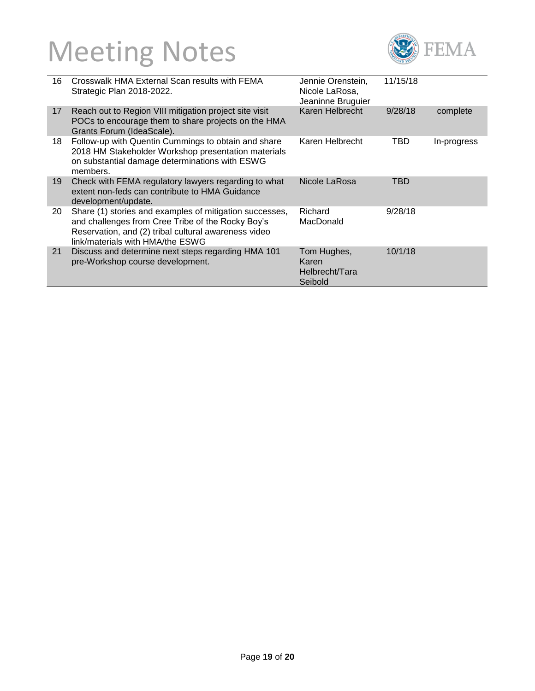

| 16 | Crosswalk HMA External Scan results with FEMA<br>Strategic Plan 2018-2022.                                                                                                                               | Jennie Orenstein,<br>Nicole LaRosa,<br>Jeaninne Bruguier | 11/15/18 |             |
|----|----------------------------------------------------------------------------------------------------------------------------------------------------------------------------------------------------------|----------------------------------------------------------|----------|-------------|
| 17 | Reach out to Region VIII mitigation project site visit<br>POCs to encourage them to share projects on the HMA<br>Grants Forum (IdeaScale).                                                               | Karen Helbrecht                                          | 9/28/18  | complete    |
| 18 | Follow-up with Quentin Cummings to obtain and share<br>2018 HM Stakeholder Workshop presentation materials<br>on substantial damage determinations with ESWG<br>members.                                 | Karen Helbrecht                                          | TBD      | In-progress |
| 19 | Check with FEMA regulatory lawyers regarding to what<br>extent non-feds can contribute to HMA Guidance<br>development/update.                                                                            | Nicole LaRosa                                            | TBD      |             |
| 20 | Share (1) stories and examples of mitigation successes,<br>and challenges from Cree Tribe of the Rocky Boy's<br>Reservation, and (2) tribal cultural awareness video<br>link/materials with HMA/the ESWG | Richard<br>MacDonald                                     | 9/28/18  |             |
| 21 | Discuss and determine next steps regarding HMA 101<br>pre-Workshop course development.                                                                                                                   | Tom Hughes,<br>Karen<br>Helbrecht/Tara<br>Seibold        | 10/1/18  |             |